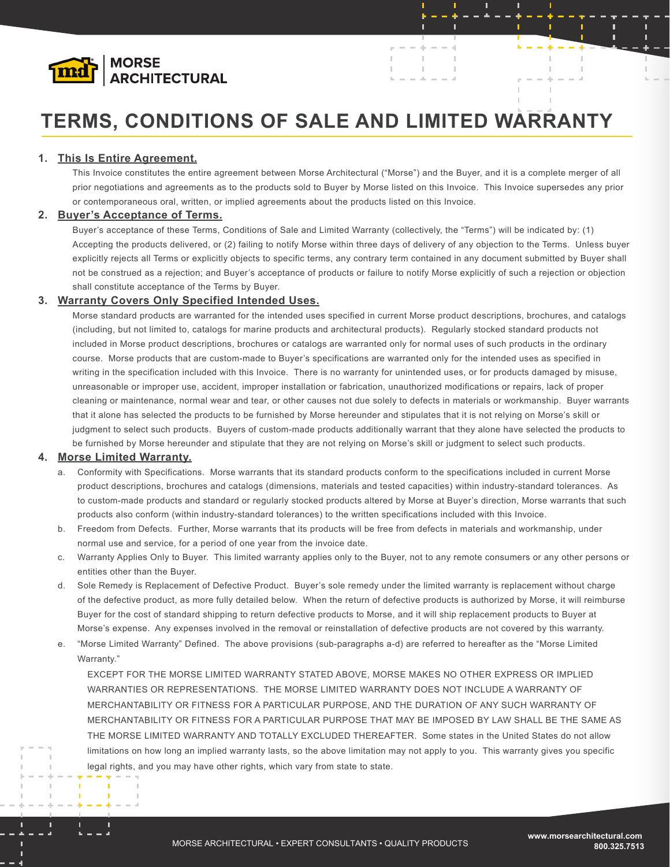

# **TERMS, CONDITIONS OF SALE AND LIMITED WARRANTY**

# **1. This Is Entire Agreement.**

This Invoice constitutes the entire agreement between Morse Architectural ("Morse") and the Buyer, and it is a complete merger of all prior negotiations and agreements as to the products sold to Buyer by Morse listed on this Invoice. This Invoice supersedes any prior or contemporaneous oral, written, or implied agreements about the products listed on this Invoice.

A.

 $\bar{\rm I}$ 

D

 $\mathbb{R}^2$ 

 $\mathbb{I}$ 

# **2. Buyer's Acceptance of Terms.**

Buyer's acceptance of these Terms, Conditions of Sale and Limited Warranty (collectively, the "Terms") will be indicated by: (1) Accepting the products delivered, or (2) failing to notify Morse within three days of delivery of any objection to the Terms. Unless buyer explicitly rejects all Terms or explicitly objects to specific terms, any contrary term contained in any document submitted by Buyer shall not be construed as a rejection; and Buyer's acceptance of products or failure to notify Morse explicitly of such a rejection or objection shall constitute acceptance of the Terms by Buyer.

# **3. Warranty Covers Only Specified Intended Uses.**

Morse standard products are warranted for the intended uses specified in current Morse product descriptions, brochures, and catalogs (including, but not limited to, catalogs for marine products and architectural products). Regularly stocked standard products not included in Morse product descriptions, brochures or catalogs are warranted only for normal uses of such products in the ordinary course. Morse products that are custom-made to Buyer's specifications are warranted only for the intended uses as specified in writing in the specification included with this Invoice. There is no warranty for unintended uses, or for products damaged by misuse, unreasonable or improper use, accident, improper installation or fabrication, unauthorized modifications or repairs, lack of proper cleaning or maintenance, normal wear and tear, or other causes not due solely to defects in materials or workmanship. Buyer warrants that it alone has selected the products to be furnished by Morse hereunder and stipulates that it is not relying on Morse's skill or judgment to select such products. Buyers of custom-made products additionally warrant that they alone have selected the products to be furnished by Morse hereunder and stipulate that they are not relying on Morse's skill or judgment to select such products.

# **4. Morse Limited Warranty.**

- a. Conformity with Specifications. Morse warrants that its standard products conform to the specifications included in current Morse product descriptions, brochures and catalogs (dimensions, materials and tested capacities) within industry-standard tolerances. As to custom-made products and standard or regularly stocked products altered by Morse at Buyer's direction, Morse warrants that such products also conform (within industry-standard tolerances) to the written specifications included with this Invoice.
- b. Freedom from Defects. Further, Morse warrants that its products will be free from defects in materials and workmanship, under normal use and service, for a period of one year from the invoice date.
- c. Warranty Applies Only to Buyer. This limited warranty applies only to the Buyer, not to any remote consumers or any other persons or entities other than the Buyer.
- d. Sole Remedy is Replacement of Defective Product. Buyer's sole remedy under the limited warranty is replacement without charge of the defective product, as more fully detailed below. When the return of defective products is authorized by Morse, it will reimburse Buyer for the cost of standard shipping to return defective products to Morse, and it will ship replacement products to Buyer at Morse's expense. Any expenses involved in the removal or reinstallation of defective products are not covered by this warranty.
- e. "Morse Limited Warranty" Defined. The above provisions (sub-paragraphs a-d) are referred to hereafter as the "Morse Limited Warranty."

EXCEPT FOR THE MORSE LIMITED WARRANTY STATED ABOVE, MORSE MAKES NO OTHER EXPRESS OR IMPLIED WARRANTIES OR REPRESENTATIONS. THE MORSE LIMITED WARRANTY DOES NOT INCLUDE A WARRANTY OF MERCHANTABILITY OR FITNESS FOR A PARTICULAR PURPOSE, AND THE DURATION OF ANY SUCH WARRANTY OF MERCHANTABILITY OR FITNESS FOR A PARTICULAR PURPOSE THAT MAY BE IMPOSED BY LAW SHALL BE THE SAME AS THE MORSE LIMITED WARRANTY AND TOTALLY EXCLUDED THEREAFTER. Some states in the United States do not allow limitations on how long an implied warranty lasts, so the above limitation may not apply to you. This warranty gives you specific legal rights, and you may have other rights, which vary from state to state.